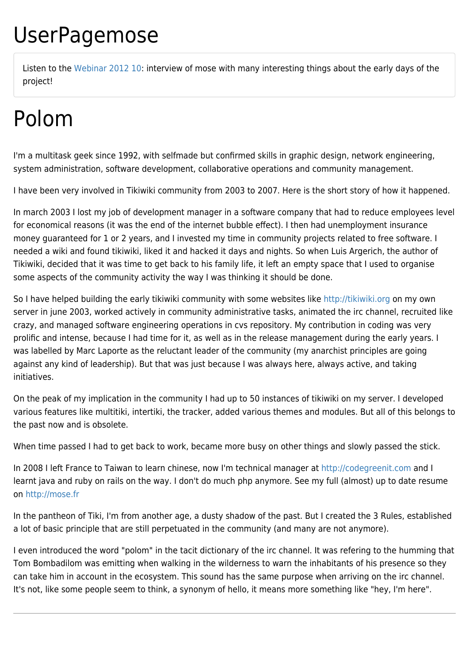## UserPagemose

Listen to the [Webinar 2012 10](https://tiki.org/Webinar-2012-10): interview of mose with many interesting things about the early days of the project!

## Polom

I'm a multitask geek since 1992, with selfmade but confirmed skills in graphic design, network engineering, system administration, software development, collaborative operations and community management.

I have been very involved in Tikiwiki community from 2003 to 2007. Here is the short story of how it happened.

In march 2003 I lost my job of development manager in a software company that had to reduce employees level for economical reasons (it was the end of the internet bubble effect). I then had unemployment insurance money guaranteed for 1 or 2 years, and I invested my time in community projects related to free software. I needed a wiki and found tikiwiki, liked it and hacked it days and nights. So when Luis Argerich, the author of Tikiwiki, decided that it was time to get back to his family life, it left an empty space that I used to organise some aspects of the community activity the way I was thinking it should be done.

So I have helped building the early tikiwiki community with some websites like<http://tikiwiki.org> on my own server in june 2003, worked actively in community administrative tasks, animated the irc channel, recruited like crazy, and managed software engineering operations in cvs repository. My contribution in coding was very prolific and intense, because I had time for it, as well as in the release management during the early years. I was labelled by Marc Laporte as the reluctant leader of the community (my anarchist principles are going against any kind of leadership). But that was just because I was always here, always active, and taking initiatives.

On the peak of my implication in the community I had up to 50 instances of tikiwiki on my server. I developed various features like multitiki, intertiki, the tracker, added various themes and modules. But all of this belongs to the past now and is obsolete.

When time passed I had to get back to work, became more busy on other things and slowly passed the stick.

In 2008 I left France to Taiwan to learn chinese, now I'm technical manager at<http://codegreenit.com>and I learnt java and ruby on rails on the way. I don't do much php anymore. See my full (almost) up to date resume on <http://mose.fr>

In the pantheon of Tiki, I'm from another age, a dusty shadow of the past. But I created the 3 Rules, established a lot of basic principle that are still perpetuated in the community (and many are not anymore).

I even introduced the word "polom" in the tacit dictionary of the irc channel. It was refering to the humming that Tom Bombadilom was emitting when walking in the wilderness to warn the inhabitants of his presence so they can take him in account in the ecosystem. This sound has the same purpose when arriving on the irc channel. It's not, like some people seem to think, a synonym of hello, it means more something like "hey, I'm here".